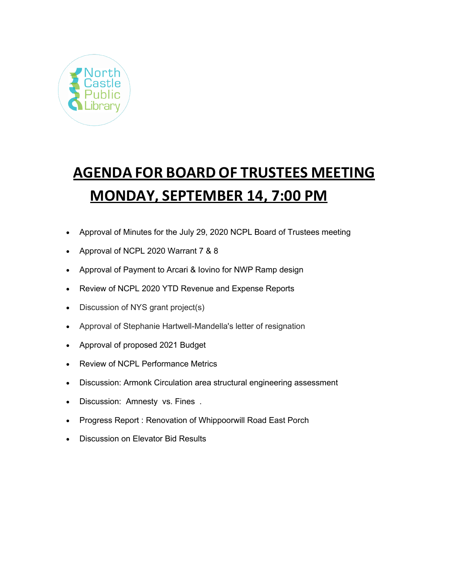

# **AGENDA FOR BOARD OF TRUSTEES MEETING MONDAY, SEPTEMBER 14, 7:00 PM**

- Approval of Minutes for the July 29, 2020 NCPL Board of Trustees meeting
- Approval of NCPL 2020 Warrant 7 & 8
- Approval of Payment to Arcari & Iovino for NWP Ramp design
- Review of NCPL 2020 YTD Revenue and Expense Reports
- Discussion of NYS grant project(s)
- Approval of Stephanie Hartwell-Mandella's letter of resignation
- Approval of proposed 2021 Budget
- Review of NCPL Performance Metrics
- Discussion: Armonk Circulation area structural engineering assessment
- Discussion: Amnesty vs. Fines .
- Progress Report : Renovation of Whippoorwill Road East Porch
- Discussion on Elevator Bid Results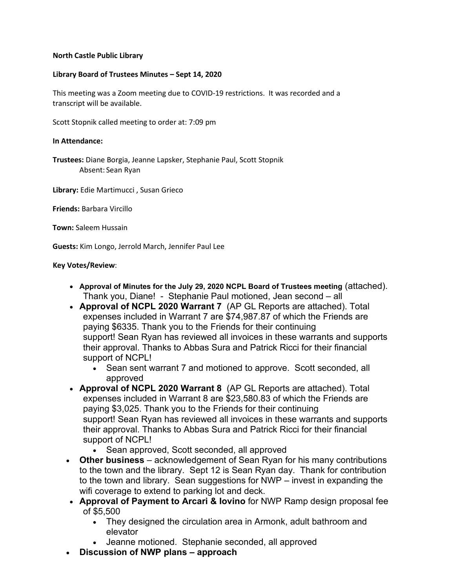## **North Castle Public Library**

## **Library Board of Trustees Minutes – Sept 14, 2020**

This meeting was a Zoom meeting due to COVID-19 restrictions. It was recorded and a transcript will be available.

Scott Stopnik called meeting to order at: 7:09 pm

### **In Attendance:**

**Trustees:** Diane Borgia, Jeanne Lapsker, Stephanie Paul, Scott Stopnik Absent: Sean Ryan

**Library:** Edie Martimucci , Susan Grieco

**Friends:** Barbara Vircillo

**Town:** Saleem Hussain

**Guests:** Kim Longo, Jerrold March, Jennifer Paul Lee

#### **Key Votes/Review**:

- **Approval of Minutes for the July 29, 2020 NCPL Board of Trustees meeting** (attached). Thank you, Diane! - Stephanie Paul motioned, Jean second – all
- **Approval of NCPL 2020 Warrant 7** (AP GL Reports are attached). Total expenses included in Warrant 7 are \$74,987.87 of which the Friends are paying \$6335. Thank you to the Friends for their continuing support! Sean Ryan has reviewed all invoices in these warrants and supports their approval. Thanks to Abbas Sura and Patrick Ricci for their financial support of NCPL!
	- Sean sent warrant 7 and motioned to approve. Scott seconded, all approved
- **Approval of NCPL 2020 Warrant 8** (AP GL Reports are attached). Total expenses included in Warrant 8 are \$23,580.83 of which the Friends are paying \$3,025. Thank you to the Friends for their continuing support! Sean Ryan has reviewed all invoices in these warrants and supports their approval. Thanks to Abbas Sura and Patrick Ricci for their financial support of NCPL!
	- Sean approved, Scott seconded, all approved
- **Other business**  acknowledgement of Sean Ryan for his many contributions to the town and the library. Sept 12 is Sean Ryan day. Thank for contribution to the town and library. Sean suggestions for NWP – invest in expanding the wifi coverage to extend to parking lot and deck.
- **Approval of Payment to Arcari & Iovino** for NWP Ramp design proposal fee of \$5,500
	- They designed the circulation area in Armonk, adult bathroom and elevator
	- Jeanne motioned. Stephanie seconded, all approved
- **Discussion of NWP plans – approach**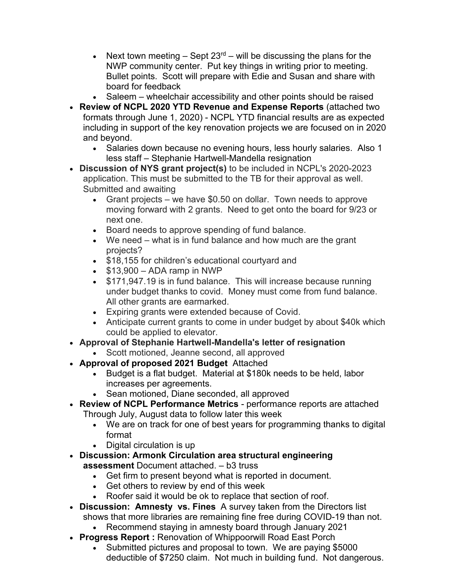- Next town meeting  $-$  Sept 23<sup>rd</sup> will be discussing the plans for the NWP community center. Put key things in writing prior to meeting. Bullet points. Scott will prepare with Edie and Susan and share with board for feedback
- Saleem wheelchair accessibility and other points should be raised
- **Review of NCPL 2020 YTD Revenue and Expense Reports** (attached two formats through June 1, 2020) - NCPL YTD financial results are as expected including in support of the key renovation projects we are focused on in 2020 and beyond.
	- Salaries down because no evening hours, less hourly salaries. Also 1 less staff – Stephanie Hartwell-Mandella resignation
- **Discussion of NYS grant project(s)** to be included in NCPL's 2020-2023 application. This must be submitted to the TB for their approval as well. Submitted and awaiting
	- Grant projects we have \$0.50 on dollar. Town needs to approve moving forward with 2 grants. Need to get onto the board for 9/23 or next one.
	- Board needs to approve spending of fund balance.
	- We need what is in fund balance and how much are the grant projects?
	- \$18,155 for children's educational courtyard and
	- $\bullet$  \$13,900 ADA ramp in NWP
	- \$171,947.19 is in fund balance. This will increase because running under budget thanks to covid. Money must come from fund balance. All other grants are earmarked.
	- Expiring grants were extended because of Covid.
	- Anticipate current grants to come in under budget by about \$40k which could be applied to elevator.
- **Approval of Stephanie Hartwell-Mandella's letter of resignation**
	- Scott motioned, Jeanne second, all approved
- **Approval of proposed 2021 Budget** Attached
	- Budget is a flat budget. Material at \$180k needs to be held, labor increases per agreements.
	- Sean motioned, Diane seconded, all approved
- **Review of NCPL Performance Metrics** performance reports are attached Through July, August data to follow later this week
	- We are on track for one of best years for programming thanks to digital format
	- Digital circulation is up
- **Discussion: Armonk Circulation area structural engineering assessment** Document attached. – b3 truss
	- Get firm to present beyond what is reported in document.
	- Get others to review by end of this week
	- Roofer said it would be ok to replace that section of roof.
- **Discussion: Amnesty vs. Fines** A survey taken from the Directors list shows that more libraries are remaining fine free during COVID-19 than not.
- Recommend staying in amnesty board through January 2021 • **Progress Report :** Renovation of Whippoorwill Road East Porch
	- Submitted pictures and proposal to town. We are paying \$5000 deductible of \$7250 claim. Not much in building fund. Not dangerous.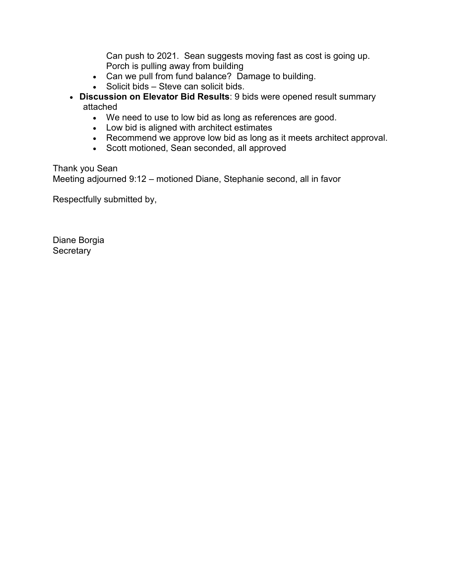Can push to 2021. Sean suggests moving fast as cost is going up. Porch is pulling away from building

- Can we pull from fund balance? Damage to building.
- Solicit bids Steve can solicit bids.
- **Discussion on Elevator Bid Results**: 9 bids were opened result summary attached
	- We need to use to low bid as long as references are good.
	- Low bid is aligned with architect estimates
	- Recommend we approve low bid as long as it meets architect approval.
	- Scott motioned, Sean seconded, all approved

Thank you Sean

Meeting adjourned 9:12 – motioned Diane, Stephanie second, all in favor

Respectfully submitted by,

Diane Borgia **Secretary**